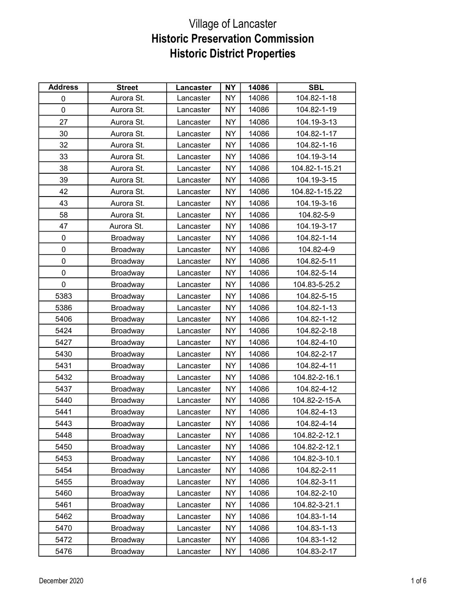| <b>Address</b> | <b>Street</b>   | Lancaster | <b>NY</b> | 14086 | <b>SBL</b>     |
|----------------|-----------------|-----------|-----------|-------|----------------|
| 0              | Aurora St.      | Lancaster | <b>NY</b> | 14086 | 104.82-1-18    |
| 0              | Aurora St.      | Lancaster | NY.       | 14086 | 104.82-1-19    |
| 27             | Aurora St.      | Lancaster | <b>NY</b> | 14086 | 104.19-3-13    |
| 30             | Aurora St.      | Lancaster | <b>NY</b> | 14086 | 104.82-1-17    |
| 32             | Aurora St.      | Lancaster | NY        | 14086 | 104.82-1-16    |
| 33             | Aurora St.      | Lancaster | <b>NY</b> | 14086 | 104.19-3-14    |
| 38             | Aurora St.      | Lancaster | <b>NY</b> | 14086 | 104.82-1-15.21 |
| 39             | Aurora St.      | Lancaster | <b>NY</b> | 14086 | 104.19-3-15    |
| 42             | Aurora St.      | Lancaster | <b>NY</b> | 14086 | 104.82-1-15.22 |
| 43             | Aurora St.      | Lancaster | <b>NY</b> | 14086 | 104.19-3-16    |
| 58             | Aurora St.      | Lancaster | <b>NY</b> | 14086 | 104.82-5-9     |
| 47             | Aurora St.      | Lancaster | <b>NY</b> | 14086 | 104.19-3-17    |
| 0              | Broadway        | Lancaster | NY        | 14086 | 104.82-1-14    |
| 0              | Broadway        | Lancaster | <b>NY</b> | 14086 | 104.82-4-9     |
| 0              | Broadway        | Lancaster | NY        | 14086 | 104.82-5-11    |
| 0              | Broadway        | Lancaster | <b>NY</b> | 14086 | 104.82-5-14    |
| 0              | Broadway        | Lancaster | <b>NY</b> | 14086 | 104.83-5-25.2  |
| 5383           | Broadway        | Lancaster | <b>NY</b> | 14086 | 104.82-5-15    |
| 5386           | Broadway        | Lancaster | <b>NY</b> | 14086 | 104.82-1-13    |
| 5406           | Broadway        | Lancaster | <b>NY</b> | 14086 | 104.82-1-12    |
| 5424           | Broadway        | Lancaster | <b>NY</b> | 14086 | 104.82-2-18    |
| 5427           | Broadway        | Lancaster | <b>NY</b> | 14086 | 104.82-4-10    |
| 5430           | Broadway        | Lancaster | <b>NY</b> | 14086 | 104.82-2-17    |
| 5431           | Broadway        | Lancaster | NY        | 14086 | 104.82-4-11    |
| 5432           | Broadway        | Lancaster | <b>NY</b> | 14086 | 104.82-2-16.1  |
| 5437           | Broadway        | Lancaster | NY        | 14086 | 104.82-4-12    |
| 5440           | Broadway        | Lancaster | <b>NY</b> | 14086 | 104.82-2-15-A  |
| 5441           | Broadway        | Lancaster | <b>NY</b> | 14086 | 104.82-4-13    |
| 5443           | Broadway        | Lancaster | <b>NY</b> | 14086 | 104.82-4-14    |
| 5448           | <b>Broadway</b> | Lancaster | NY.       | 14086 | 104.82-2-12.1  |
| 5450           | Broadway        | Lancaster | NY.       | 14086 | 104.82-2-12.1  |
| 5453           | Broadway        | Lancaster | NY.       | 14086 | 104.82-3-10.1  |
| 5454           | Broadway        | Lancaster | NY.       | 14086 | 104.82-2-11    |
| 5455           | Broadway        | Lancaster | NY        | 14086 | 104.82-3-11    |
| 5460           | Broadway        | Lancaster | NY.       | 14086 | 104.82-2-10    |
| 5461           | Broadway        | Lancaster | <b>NY</b> | 14086 | 104.82-3-21.1  |
| 5462           | Broadway        | Lancaster | NY.       | 14086 | 104.83-1-14    |
| 5470           | Broadway        | Lancaster | NY.       | 14086 | 104.83-1-13    |
| 5472           | Broadway        | Lancaster | NY.       | 14086 | 104.83-1-12    |
| 5476           | <b>Broadway</b> | Lancaster | NY.       | 14086 | 104.83-2-17    |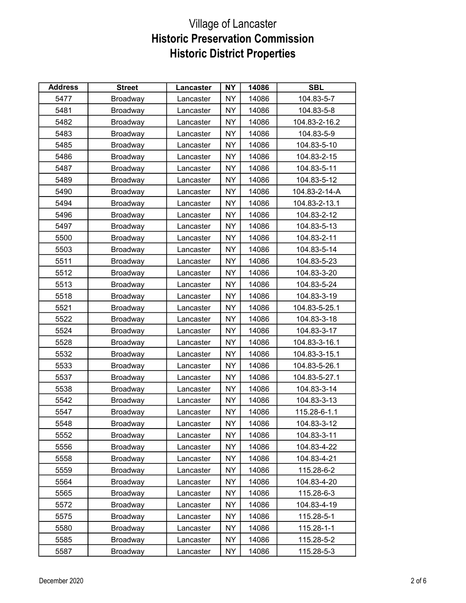| <b>Address</b> | <b>Street</b> | Lancaster | <b>NY</b> | 14086 | <b>SBL</b>    |
|----------------|---------------|-----------|-----------|-------|---------------|
| 5477           | Broadway      | Lancaster | <b>NY</b> | 14086 | 104.83-5-7    |
| 5481           | Broadway      | Lancaster | <b>NY</b> | 14086 | 104.83-5-8    |
| 5482           | Broadway      | Lancaster | <b>NY</b> | 14086 | 104.83-2-16.2 |
| 5483           | Broadway      | Lancaster | <b>NY</b> | 14086 | 104.83-5-9    |
| 5485           | Broadway      | Lancaster | NY.       | 14086 | 104.83-5-10   |
| 5486           | Broadway      | Lancaster | <b>NY</b> | 14086 | 104.83-2-15   |
| 5487           | Broadway      | Lancaster | <b>NY</b> | 14086 | 104.83-5-11   |
| 5489           | Broadway      | Lancaster | NY        | 14086 | 104.83-5-12   |
| 5490           | Broadway      | Lancaster | NY        | 14086 | 104.83-2-14-A |
| 5494           | Broadway      | Lancaster | <b>NY</b> | 14086 | 104.83-2-13.1 |
| 5496           | Broadway      | Lancaster | NY        | 14086 | 104.83-2-12   |
| 5497           | Broadway      | Lancaster | NY        | 14086 | 104.83-5-13   |
| 5500           | Broadway      | Lancaster | NY.       | 14086 | 104.83-2-11   |
| 5503           | Broadway      | Lancaster | NY        | 14086 | 104.83-5-14   |
| 5511           | Broadway      | Lancaster | NY.       | 14086 | 104.83-5-23   |
| 5512           | Broadway      | Lancaster | <b>NY</b> | 14086 | 104.83-3-20   |
| 5513           | Broadway      | Lancaster | <b>NY</b> | 14086 | 104.83-5-24   |
| 5518           | Broadway      | Lancaster | NY.       | 14086 | 104.83-3-19   |
| 5521           | Broadway      | Lancaster | NY.       | 14086 | 104.83-5-25.1 |
| 5522           | Broadway      | Lancaster | <b>NY</b> | 14086 | 104.83-3-18   |
| 5524           | Broadway      | Lancaster | NY        | 14086 | 104.83-3-17   |
| 5528           | Broadway      | Lancaster | NY        | 14086 | 104.83-3-16.1 |
| 5532           | Broadway      | Lancaster | <b>NY</b> | 14086 | 104.83-3-15.1 |
| 5533           | Broadway      | Lancaster | NY.       | 14086 | 104.83-5-26.1 |
| 5537           | Broadway      | Lancaster | NY        | 14086 | 104.83-5-27.1 |
| 5538           | Broadway      | Lancaster | NY.       | 14086 | 104.83-3-14   |
| 5542           | Broadway      | Lancaster | <b>NY</b> | 14086 | 104.83-3-13   |
| 5547           | Broadway      | Lancaster | NY.       | 14086 | 115.28-6-1.1  |
| 5548           | Broadway      | Lancaster | <b>NY</b> | 14086 | 104.83-3-12   |
| 5552           | Broadway      | Lancaster | NY.       | 14086 | 104.83-3-11   |
| 5556           | Broadway      | Lancaster | NY.       | 14086 | 104.83-4-22   |
| 5558           | Broadway      | Lancaster | NY        | 14086 | 104.83-4-21   |
| 5559           | Broadway      | Lancaster | NY.       | 14086 | 115.28-6-2    |
| 5564           | Broadway      | Lancaster | NY        | 14086 | 104.83-4-20   |
| 5565           | Broadway      | Lancaster | NΥ        | 14086 | 115.28-6-3    |
| 5572           | Broadway      | Lancaster | NY        | 14086 | 104.83-4-19   |
| 5575           | Broadway      | Lancaster | NY.       | 14086 | 115.28-5-1    |
| 5580           | Broadway      | Lancaster | NY.       | 14086 | 115.28-1-1    |
| 5585           | Broadway      | Lancaster | NY.       | 14086 | 115.28-5-2    |
| 5587           | Broadway      | Lancaster | NY.       | 14086 | 115.28-5-3    |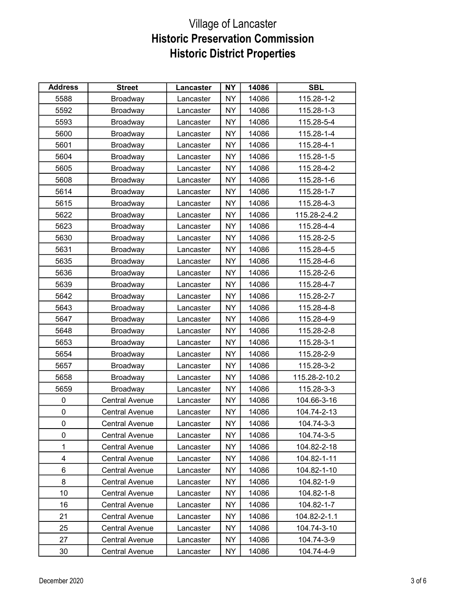| <b>Address</b> | <b>Street</b>         | Lancaster | <b>NY</b> | 14086 | <b>SBL</b>    |
|----------------|-----------------------|-----------|-----------|-------|---------------|
| 5588           | Broadway              | Lancaster | <b>NY</b> | 14086 | 115.28-1-2    |
| 5592           | Broadway              | Lancaster | NY        | 14086 | 115.28-1-3    |
| 5593           | Broadway              | Lancaster | <b>NY</b> | 14086 | 115.28-5-4    |
| 5600           | Broadway              | Lancaster | <b>NY</b> | 14086 | 115.28-1-4    |
| 5601           | Broadway              | Lancaster | NY        | 14086 | 115.28-4-1    |
| 5604           | Broadway              | Lancaster | <b>NY</b> | 14086 | 115.28-1-5    |
| 5605           | Broadway              | Lancaster | <b>NY</b> | 14086 | 115.28-4-2    |
| 5608           | Broadway              | Lancaster | <b>NY</b> | 14086 | 115.28-1-6    |
| 5614           | Broadway              | Lancaster | <b>NY</b> | 14086 | 115.28-1-7    |
| 5615           | Broadway              | Lancaster | <b>NY</b> | 14086 | 115.28-4-3    |
| 5622           | Broadway              | Lancaster | <b>NY</b> | 14086 | 115.28-2-4.2  |
| 5623           | Broadway              | Lancaster | <b>NY</b> | 14086 | 115.28-4-4    |
| 5630           | Broadway              | Lancaster | NY        | 14086 | 115.28-2-5    |
| 5631           | Broadway              | Lancaster | <b>NY</b> | 14086 | 115.28-4-5    |
| 5635           | Broadway              | Lancaster | NY        | 14086 | 115.28-4-6    |
| 5636           | Broadway              | Lancaster | <b>NY</b> | 14086 | 115.28-2-6    |
| 5639           | Broadway              | Lancaster | <b>NY</b> | 14086 | 115.28-4-7    |
| 5642           | Broadway              | Lancaster | <b>NY</b> | 14086 | 115.28-2-7    |
| 5643           | Broadway              | Lancaster | <b>NY</b> | 14086 | 115.28-4-8    |
| 5647           | Broadway              | Lancaster | <b>NY</b> | 14086 | 115.28-4-9    |
| 5648           | Broadway              | Lancaster | <b>NY</b> | 14086 | 115.28-2-8    |
| 5653           | Broadway              | Lancaster | <b>NY</b> | 14086 | 115.28-3-1    |
| 5654           | Broadway              | Lancaster | <b>NY</b> | 14086 | 115.28-2-9    |
| 5657           | Broadway              | Lancaster | NY        | 14086 | 115.28-3-2    |
| 5658           | Broadway              | Lancaster | <b>NY</b> | 14086 | 115.28-2-10.2 |
| 5659           | Broadway              | Lancaster | NY        | 14086 | 115.28-3-3    |
| 0              | <b>Central Avenue</b> | Lancaster | <b>NY</b> | 14086 | 104.66-3-16   |
| 0              | <b>Central Avenue</b> | Lancaster | <b>NY</b> | 14086 | 104.74-2-13   |
| 0              | Central Avenue        | Lancaster | <b>NY</b> | 14086 | 104.74-3-3    |
| 0              | <b>Central Avenue</b> | Lancaster | NY.       | 14086 | 104.74-3-5    |
| $\mathbf 1$    | <b>Central Avenue</b> | Lancaster | NY.       | 14086 | 104.82-2-18   |
| 4              | Central Avenue        | Lancaster | NY.       | 14086 | 104.82-1-11   |
| 6              | <b>Central Avenue</b> | Lancaster | NΥ        | 14086 | 104.82-1-10   |
| 8              | <b>Central Avenue</b> | Lancaster | NY.       | 14086 | 104.82-1-9    |
| 10             | <b>Central Avenue</b> | Lancaster | NY.       | 14086 | 104.82-1-8    |
| 16             | <b>Central Avenue</b> | Lancaster | NY        | 14086 | 104.82-1-7    |
| 21             | <b>Central Avenue</b> | Lancaster | NY        | 14086 | 104.82-2-1.1  |
| 25             | Central Avenue        | Lancaster | NΥ        | 14086 | 104.74-3-10   |
| 27             | <b>Central Avenue</b> | Lancaster | NY.       | 14086 | 104.74-3-9    |
| 30             | <b>Central Avenue</b> | Lancaster | NY        | 14086 | 104.74-4-9    |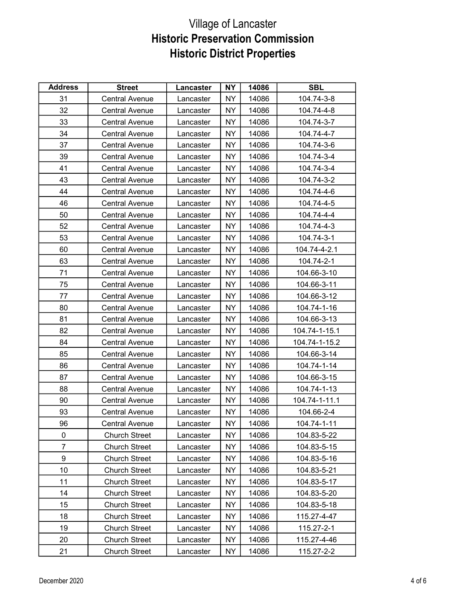| <b>Address</b> | <b>Street</b>         | <b>Lancaster</b> | <b>NY</b> | 14086 | <b>SBL</b>    |
|----------------|-----------------------|------------------|-----------|-------|---------------|
| 31             | <b>Central Avenue</b> | Lancaster        | <b>NY</b> | 14086 | 104.74-3-8    |
| 32             | <b>Central Avenue</b> | Lancaster        | <b>NY</b> | 14086 | 104.74-4-8    |
| 33             | <b>Central Avenue</b> | Lancaster        | <b>NY</b> | 14086 | 104.74-3-7    |
| 34             | <b>Central Avenue</b> | Lancaster        | <b>NY</b> | 14086 | 104.74-4-7    |
| 37             | <b>Central Avenue</b> | Lancaster        | <b>NY</b> | 14086 | 104.74-3-6    |
| 39             | <b>Central Avenue</b> | Lancaster        | NY        | 14086 | 104.74-3-4    |
| 41             | <b>Central Avenue</b> | Lancaster        | NY        | 14086 | 104.74-3-4    |
| 43             | <b>Central Avenue</b> | Lancaster        | <b>NY</b> | 14086 | 104.74-3-2    |
| 44             | <b>Central Avenue</b> | Lancaster        | <b>NY</b> | 14086 | 104.74-4-6    |
| 46             | <b>Central Avenue</b> | Lancaster        | <b>NY</b> | 14086 | 104.74-4-5    |
| 50             | Central Avenue        | Lancaster        | <b>NY</b> | 14086 | 104.74-4-4    |
| 52             | <b>Central Avenue</b> | Lancaster        | <b>NY</b> | 14086 | 104.74-4-3    |
| 53             | <b>Central Avenue</b> | Lancaster        | NY        | 14086 | 104.74-3-1    |
| 60             | <b>Central Avenue</b> | Lancaster        | NY        | 14086 | 104.74-4-2.1  |
| 63             | <b>Central Avenue</b> | Lancaster        | NY        | 14086 | 104.74-2-1    |
| 71             | <b>Central Avenue</b> | Lancaster        | <b>NY</b> | 14086 | 104.66-3-10   |
| 75             | <b>Central Avenue</b> | Lancaster        | <b>NY</b> | 14086 | 104.66-3-11   |
| 77             | <b>Central Avenue</b> | Lancaster        | <b>NY</b> | 14086 | 104.66-3-12   |
| 80             | <b>Central Avenue</b> | Lancaster        | NY        | 14086 | 104.74-1-16   |
| 81             | <b>Central Avenue</b> | Lancaster        | <b>NY</b> | 14086 | 104.66-3-13   |
| 82             | <b>Central Avenue</b> | Lancaster        | NY        | 14086 | 104.74-1-15.1 |
| 84             | <b>Central Avenue</b> | Lancaster        | <b>NY</b> | 14086 | 104.74-1-15.2 |
| 85             | <b>Central Avenue</b> | Lancaster        | <b>NY</b> | 14086 | 104.66-3-14   |
| 86             | <b>Central Avenue</b> | Lancaster        | NY        | 14086 | 104.74-1-14   |
| 87             | <b>Central Avenue</b> | Lancaster        | <b>NY</b> | 14086 | 104.66-3-15   |
| 88             | <b>Central Avenue</b> | Lancaster        | NY        | 14086 | 104.74-1-13   |
| 90             | <b>Central Avenue</b> | Lancaster        | NY        | 14086 | 104.74-1-11.1 |
| 93             | <b>Central Avenue</b> | Lancaster        | <b>NY</b> | 14086 | 104.66-2-4    |
| 96             | <b>Central Avenue</b> | Lancaster        | <b>NY</b> | 14086 | 104.74-1-11   |
| 0              | <b>Church Street</b>  | Lancaster        | NY        | 14086 | 104.83-5-22   |
| 7              | <b>Church Street</b>  | Lancaster        | NY        | 14086 | 104.83-5-15   |
| 9              | <b>Church Street</b>  | Lancaster        | NY.       | 14086 | 104.83-5-16   |
| 10             | <b>Church Street</b>  | Lancaster        | NY        | 14086 | 104.83-5-21   |
| 11             | <b>Church Street</b>  | Lancaster        | NY.       | 14086 | 104.83-5-17   |
| 14             | <b>Church Street</b>  | Lancaster        | NY.       | 14086 | 104.83-5-20   |
| 15             | <b>Church Street</b>  | Lancaster        | NY.       | 14086 | 104.83-5-18   |
| 18             | <b>Church Street</b>  | Lancaster        | NY        | 14086 | 115.27-4-47   |
| 19             | <b>Church Street</b>  | Lancaster        | NY        | 14086 | 115.27-2-1    |
| 20             | <b>Church Street</b>  | Lancaster        | NY.       | 14086 | 115.27-4-46   |
| 21             | <b>Church Street</b>  | Lancaster        | NY        | 14086 | 115.27-2-2    |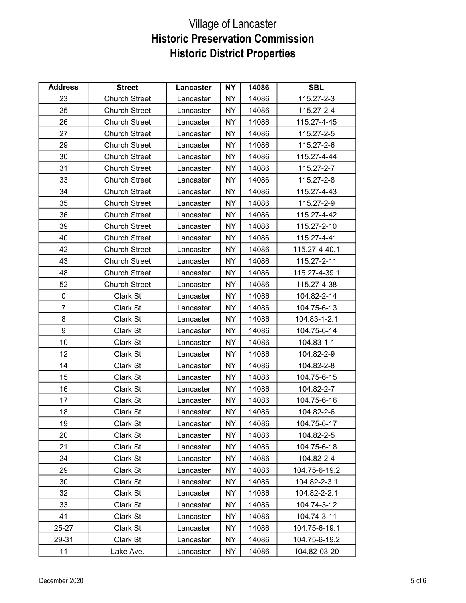| <b>Address</b> | <b>Street</b>        | Lancaster | <b>NY</b> | 14086 | <b>SBL</b>    |
|----------------|----------------------|-----------|-----------|-------|---------------|
| 23             | <b>Church Street</b> | Lancaster | NY        | 14086 | 115.27-2-3    |
| 25             | <b>Church Street</b> | Lancaster | <b>NY</b> | 14086 | 115.27-2-4    |
| 26             | <b>Church Street</b> | Lancaster | <b>NY</b> | 14086 | 115.27-4-45   |
| 27             | <b>Church Street</b> | Lancaster | <b>NY</b> | 14086 | 115.27-2-5    |
| 29             | <b>Church Street</b> | Lancaster | NY        | 14086 | 115.27-2-6    |
| 30             | <b>Church Street</b> | Lancaster | <b>NY</b> | 14086 | 115.27-4-44   |
| 31             | <b>Church Street</b> | Lancaster | <b>NY</b> | 14086 | 115.27-2-7    |
| 33             | <b>Church Street</b> | Lancaster | <b>NY</b> | 14086 | 115.27-2-8    |
| 34             | <b>Church Street</b> | Lancaster | <b>NY</b> | 14086 | 115.27-4-43   |
| 35             | <b>Church Street</b> | Lancaster | <b>NY</b> | 14086 | 115.27-2-9    |
| 36             | <b>Church Street</b> | Lancaster | NY        | 14086 | 115.27-4-42   |
| 39             | <b>Church Street</b> | Lancaster | <b>NY</b> | 14086 | 115.27-2-10   |
| 40             | <b>Church Street</b> | Lancaster | <b>NY</b> | 14086 | 115.27-4-41   |
| 42             | <b>Church Street</b> | Lancaster | <b>NY</b> | 14086 | 115.27-4-40.1 |
| 43             | <b>Church Street</b> | Lancaster | NY        | 14086 | 115.27-2-11   |
| 48             | <b>Church Street</b> | Lancaster | <b>NY</b> | 14086 | 115.27-4-39.1 |
| 52             | <b>Church Street</b> | Lancaster | <b>NY</b> | 14086 | 115.27-4-38   |
| 0              | Clark St             | Lancaster | NY        | 14086 | 104.82-2-14   |
| $\overline{7}$ | Clark St             | Lancaster | NY        | 14086 | 104.75-6-13   |
| 8              | Clark St             | Lancaster | <b>NY</b> | 14086 | 104.83-1-2.1  |
| 9              | Clark St             | Lancaster | <b>NY</b> | 14086 | 104.75-6-14   |
| 10             | Clark St             | Lancaster | <b>NY</b> | 14086 | 104.83-1-1    |
| 12             | Clark St             | Lancaster | <b>NY</b> | 14086 | 104.82-2-9    |
| 14             | Clark St             | Lancaster | NY        | 14086 | 104.82-2-8    |
| 15             | Clark St             | Lancaster | NY        | 14086 | 104.75-6-15   |
| 16             | Clark St             | Lancaster | NY        | 14086 | 104.82-2-7    |
| 17             | Clark St             | Lancaster | NY        | 14086 | 104.75-6-16   |
| 18             | Clark St             | Lancaster | NY        | 14086 | 104.82-2-6    |
| 19             | Clark St             | Lancaster | <b>NY</b> | 14086 | 104.75-6-17   |
| 20             | Clark St             | Lancaster | NY.       | 14086 | 104.82-2-5    |
| 21             | Clark St             | Lancaster | NY.       | 14086 | 104.75-6-18   |
| 24             | Clark St             | Lancaster | NY        | 14086 | 104.82-2-4    |
| 29             | Clark St             | Lancaster | NY.       | 14086 | 104.75-6-19.2 |
| 30             | Clark St             | Lancaster | <b>NY</b> | 14086 | 104.82-2-3.1  |
| 32             | Clark St             | Lancaster | NY.       | 14086 | 104.82-2-2.1  |
| 33             | Clark St             | Lancaster | NY        | 14086 | 104.74-3-12   |
| 41             | Clark St             | Lancaster | NY.       | 14086 | 104.74-3-11   |
| 25-27          | Clark St             | Lancaster | NY.       | 14086 | 104.75-6-19.1 |
| 29-31          | Clark St             | Lancaster | NY        | 14086 | 104.75-6-19.2 |
| 11             | Lake Ave.            | Lancaster | NY        | 14086 | 104.82-03-20  |